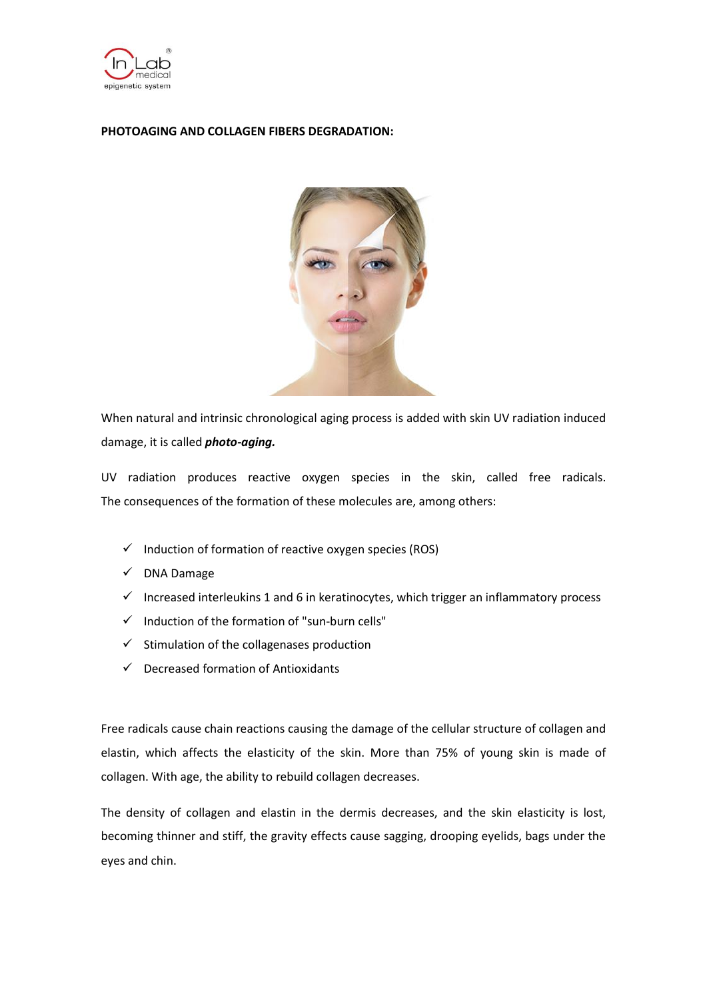

# **PHOTOAGING AND COLLAGEN FIBERS DEGRADATION:**



When natural and intrinsic chronological aging process is added with skin UV radiation induced damage, it is called *photo-aging.*

UV radiation produces reactive oxygen species in the skin, called free radicals. The consequences of the formation of these molecules are, among others:

- $\checkmark$  Induction of formation of reactive oxygen species (ROS)
- $\checkmark$  DNA Damage
- $\checkmark$  Increased interleukins 1 and 6 in keratinocytes, which trigger an inflammatory process
- $\checkmark$  Induction of the formation of "sun-burn cells"
- $\checkmark$  Stimulation of the collagenases production
- $\checkmark$  Decreased formation of Antioxidants

Free radicals cause chain reactions causing the damage of the cellular structure of collagen and elastin, which affects the elasticity of the skin. More than 75% of young skin is made of collagen. With age, the ability to rebuild collagen decreases.

The density of collagen and elastin in the dermis decreases, and the skin elasticity is lost, becoming thinner and stiff, the gravity effects cause sagging, drooping eyelids, bags under the eyes and chin.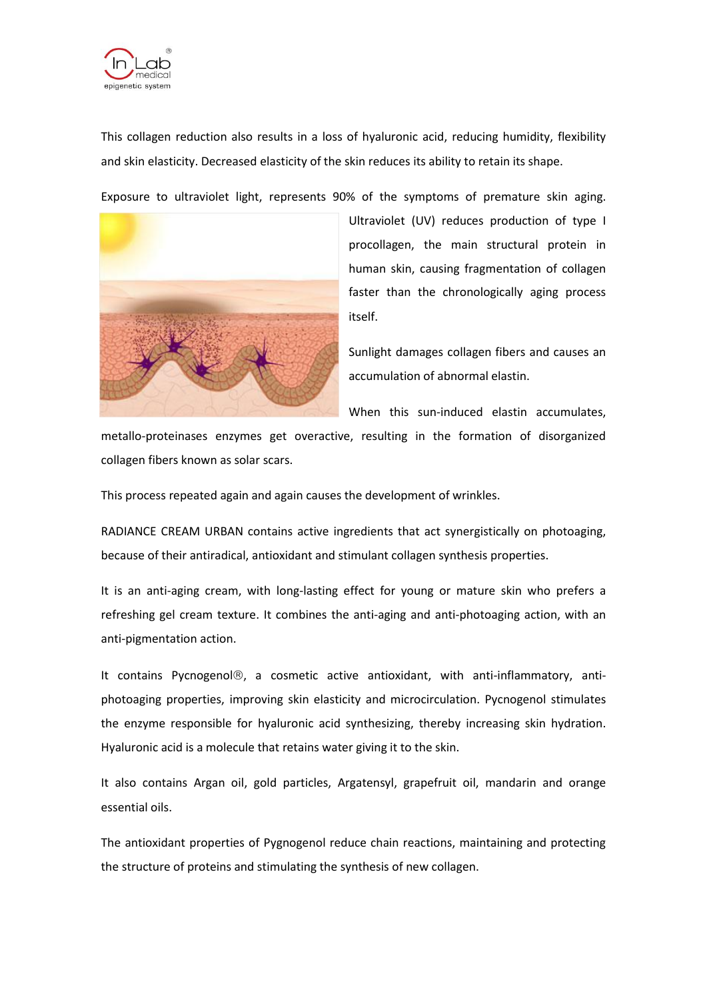

This collagen reduction also results in a loss of hyaluronic acid, reducing humidity, flexibility and skin elasticity. Decreased elasticity of the skin reduces its ability to retain its shape.

Exposure to ultraviolet light, represents 90% of the symptoms of premature skin aging.



Ultraviolet (UV) reduces production of type I procollagen, the main structural protein in human skin, causing fragmentation of collagen faster than the chronologically aging process itself.

Sunlight damages collagen fibers and causes an accumulation of abnormal elastin.

When this sun-induced elastin accumulates,

metallo-proteinases enzymes get overactive, resulting in the formation of disorganized collagen fibers known as solar scars.

This process repeated again and again causes the development of wrinkles.

RADIANCE CREAM URBAN contains active ingredients that act synergistically on photoaging, because of their antiradical, antioxidant and stimulant collagen synthesis properties.

It is an anti-aging cream, with long-lasting effect for young or mature skin who prefers a refreshing gel cream texture. It combines the anti-aging and anti-photoaging action, with an anti-pigmentation action.

It contains Pycnogenol®, a cosmetic active antioxidant, with anti-inflammatory, antiphotoaging properties, improving skin elasticity and microcirculation. Pycnogenol stimulates the enzyme responsible for hyaluronic acid synthesizing, thereby increasing skin hydration. Hyaluronic acid is a molecule that retains water giving it to the skin.

It also contains Argan oil, gold particles, Argatensyl, grapefruit oil, mandarin and orange essential oils.

The antioxidant properties of Pygnogenol reduce chain reactions, maintaining and protecting the structure of proteins and stimulating the synthesis of new collagen.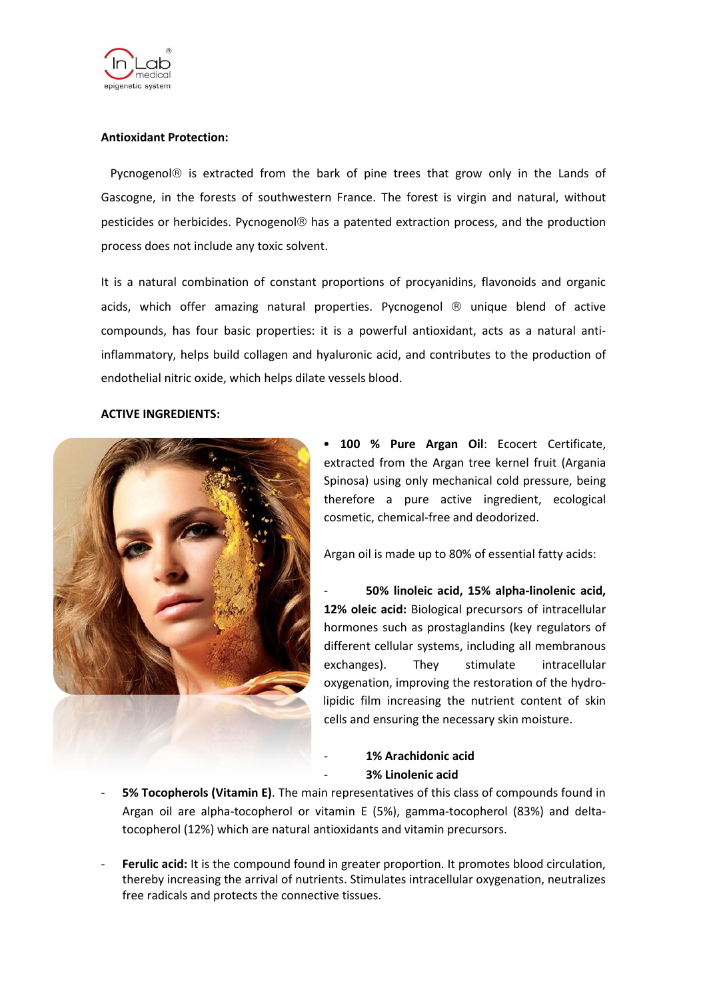

## **Antioxidant Protection:**

Pycnogenol $\circledR$  is extracted from the bark of pine trees that grow only in the Lands of Gascogne, in the forests of southwestern France. The forest is virgin and natural, without pesticides or herbicides. Pycnogenol® has a patented extraction process, and the production process does not include any toxic solvent.

It is a natural combination of constant proportions of procyanidins, flavonoids and organic acids, which offer amazing natural properties. Pycnogenol  $\odot$  unique blend of active compounds, has four basic properties: it is a powerful antioxidant, acts as a natural antiinflammatory, helps build collagen and hyaluronic acid, and contributes to the production of endothelial nitric oxide, which helps dilate vessels blood.

#### **ACTIVE INGREDIENTS:**



• **100 % Pure Argan Oil**: Ecocert Certificate, extracted from the Argan tree kernel fruit (Argania Spinosa) using only mechanical cold pressure, being therefore a pure active ingredient, ecological cosmetic, chemical-free and deodorized.

Argan oil is made up to 80% of essential fatty acids:

- **50% linoleic acid, 15% alpha-linolenic acid, 12% oleic acid:** Biological precursors of intracellular hormones such as prostaglandins (key regulators of different cellular systems, including all membranous exchanges). They stimulate intracellular oxygenation, improving the restoration of the hydrolipidic film increasing the nutrient content of skin cells and ensuring the necessary skin moisture.

- **1% Arachidonic acid** - **3% Linolenic acid**

- **5% Tocopherols (Vitamin E)**. The main representatives of this class of compounds found in Argan oil are alpha-tocopherol or vitamin E (5%), gamma-tocopherol (83%) and deltatocopherol (12%) which are natural antioxidants and vitamin precursors.
- Ferulic acid: It is the compound found in greater proportion. It promotes blood circulation, thereby increasing the arrival of nutrients. Stimulates intracellular oxygenation, neutralizes free radicals and protects the connective tissues.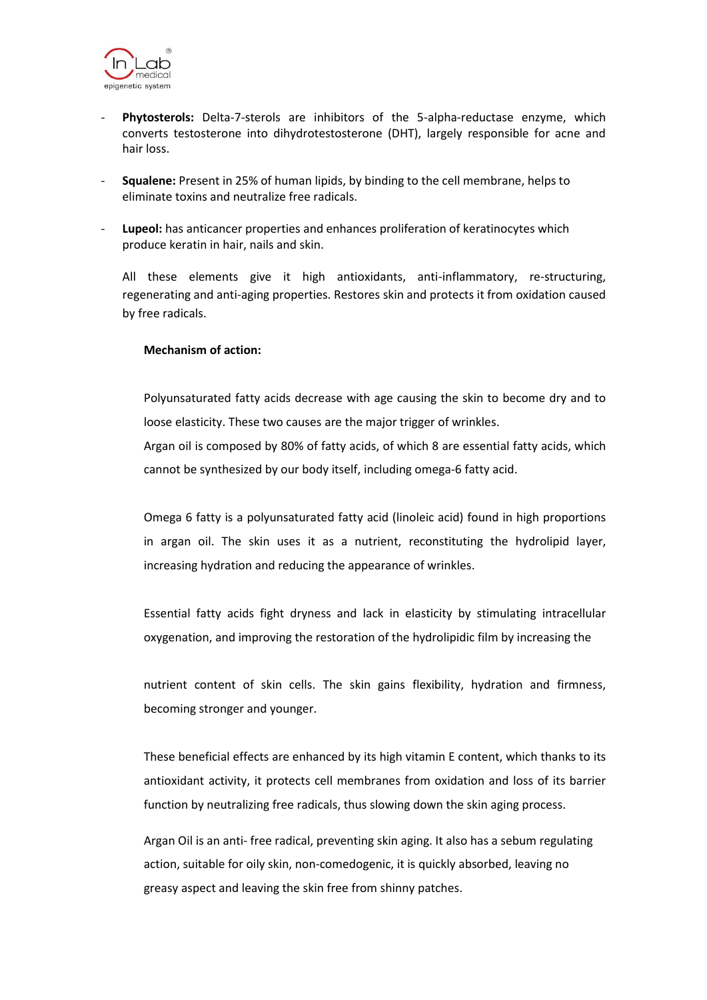

- Phytosterols: Delta-7-sterols are inhibitors of the 5-alpha-reductase enzyme, which converts testosterone into dihydrotestosterone (DHT), largely responsible for acne and hair loss.
- **Squalene:** Present in 25% of human lipids, by binding to the cell membrane, helps to eliminate toxins and neutralize free radicals.
- **Lupeol:** has anticancer properties and enhances proliferation of keratinocytes which produce keratin in hair, nails and skin.

All these elements give it high antioxidants, anti-inflammatory, re-structuring, regenerating and anti-aging properties. Restores skin and protects it from oxidation caused by free radicals.

### **Mechanism of action:**

Polyunsaturated fatty acids decrease with age causing the skin to become dry and to loose elasticity. These two causes are the major trigger of wrinkles. Argan oil is composed by 80% of fatty acids, of which 8 are essential fatty acids, which

Omega 6 fatty is a polyunsaturated fatty acid (linoleic acid) found in high proportions in argan oil. The skin uses it as a nutrient, reconstituting the hydrolipid layer,

increasing hydration and reducing the appearance of wrinkles.

cannot be synthesized by our body itself, including omega-6 fatty acid.

Essential fatty acids fight dryness and lack in elasticity by stimulating intracellular oxygenation, and improving the restoration of the hydrolipidic film by increasing the

nutrient content of skin cells. The skin gains flexibility, hydration and firmness, becoming stronger and younger.

These beneficial effects are enhanced by its high vitamin E content, which thanks to its antioxidant activity, it protects cell membranes from oxidation and loss of its barrier function by neutralizing free radicals, thus slowing down the skin aging process.

Argan Oil is an anti- free radical, preventing skin aging. It also has a sebum regulating action, suitable for oily skin, non-comedogenic, it is quickly absorbed, leaving no greasy aspect and leaving the skin free from shinny patches.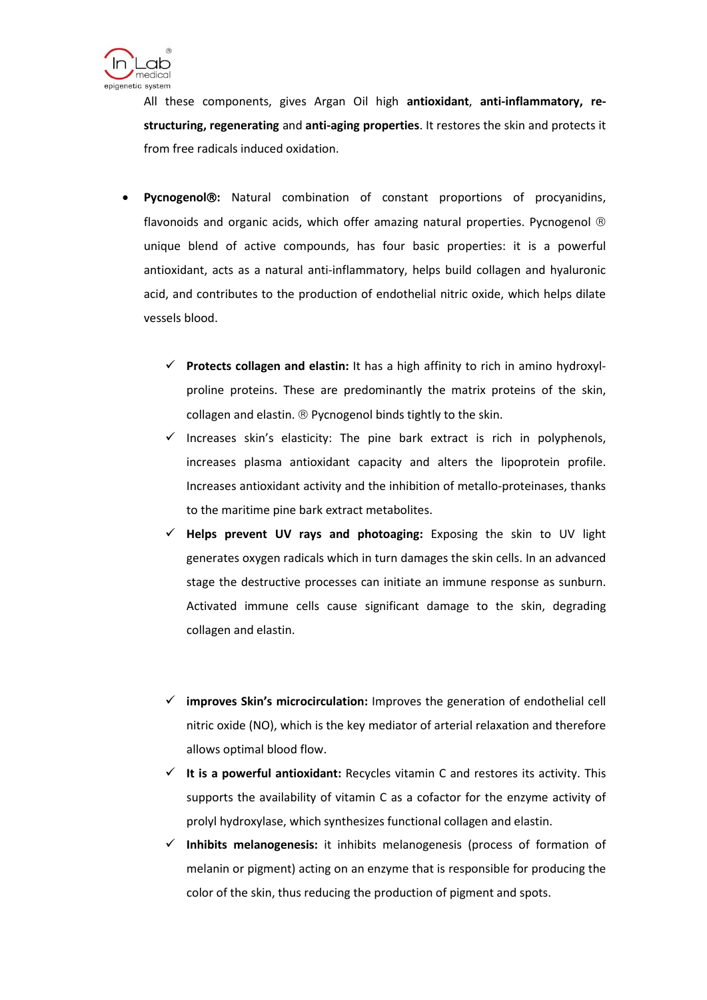

All these components, gives Argan Oil high **antioxidant**, **anti-inflammatory, restructuring, regenerating** and **anti-aging properties**. It restores the skin and protects it from free radicals induced oxidation.

- **Pycnogenol:** Natural combination of constant proportions of procyanidins, flavonoids and organic acids, which offer amazing natural properties. Pycnogenol  $\circledR$ unique blend of active compounds, has four basic properties: it is a powerful antioxidant, acts as a natural anti-inflammatory, helps build collagen and hyaluronic acid, and contributes to the production of endothelial nitric oxide, which helps dilate vessels blood.
	- **Protects collagen and elastin:** It has a high affinity to rich in amino hydroxylproline proteins. These are predominantly the matrix proteins of the skin, collagen and elastin.  $\mathcal D$  Pycnogenol binds tightly to the skin.
	- $\checkmark$  Increases skin's elasticity: The pine bark extract is rich in polyphenols, increases plasma antioxidant capacity and alters the lipoprotein profile. Increases antioxidant activity and the inhibition of metallo-proteinases, thanks to the maritime pine bark extract metabolites.
	- **Helps prevent UV rays and photoaging:** Exposing the skin to UV light generates oxygen radicals which in turn damages the skin cells. In an advanced stage the destructive processes can initiate an immune response as sunburn. Activated immune cells cause significant damage to the skin, degrading collagen and elastin.
	- **improves Skin's microcirculation:** Improves the generation of endothelial cell nitric oxide (NO), which is the key mediator of arterial relaxation and therefore allows optimal blood flow.
	- **It is a powerful antioxidant:** Recycles vitamin C and restores its activity. This supports the availability of vitamin C as a cofactor for the enzyme activity of prolyl hydroxylase, which synthesizes functional collagen and elastin.
	- **Inhibits melanogenesis:** it inhibits melanogenesis (process of formation of melanin or pigment) acting on an enzyme that is responsible for producing the color of the skin, thus reducing the production of pigment and spots.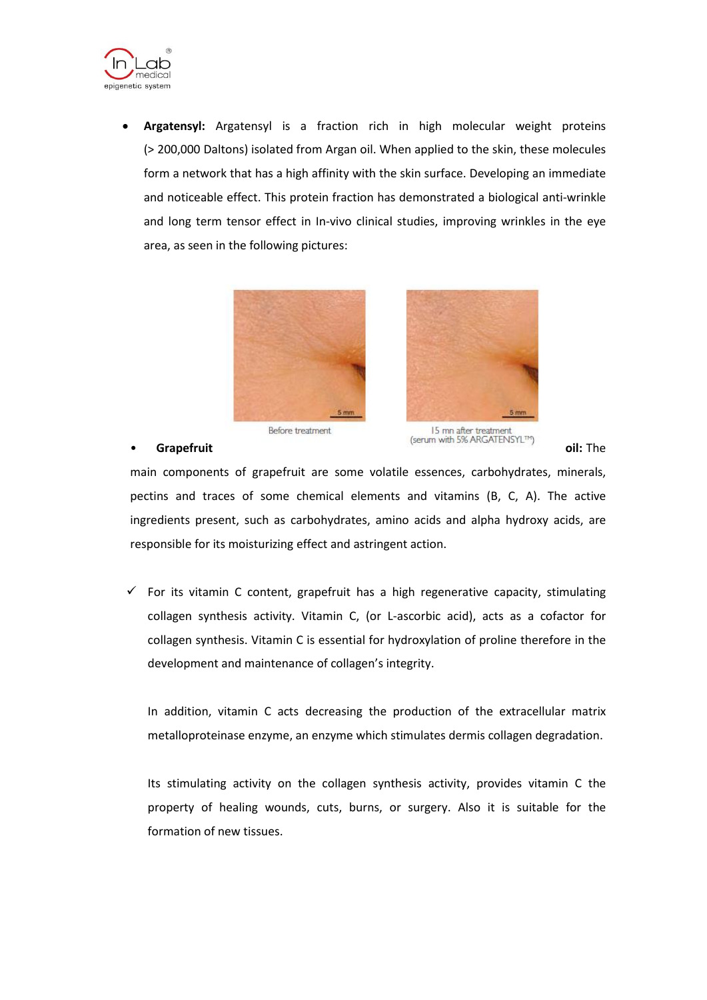

 **Argatensyl:** Argatensyl is a fraction rich in high molecular weight proteins (> 200,000 Daltons) isolated from Argan oil. When applied to the skin, these molecules form a network that has a high affinity with the skin surface. Developing an immediate and noticeable effect. This protein fraction has demonstrated a biological anti-wrinkle and long term tensor effect in In-vivo clinical studies, improving wrinkles in the eye area, as seen in the following pictures:



#### Before treatment

responsible for its moisturizing effect and astringent action.

development and maintenance of collagen's integrity.

15 mn after treatment **Grapefruit Grapefruit** *Grapefruit Grapefruit Gil:* **The** 

main components of grapefruit are some volatile essences, carbohydrates, minerals, pectins and traces of some chemical elements and vitamins (B, C, A). The active ingredients present, such as carbohydrates, amino acids and alpha hydroxy acids, are

 $\checkmark$  For its vitamin C content, grapefruit has a high regenerative capacity, stimulating collagen synthesis activity. Vitamin C, (or L-ascorbic acid), acts as a cofactor for collagen synthesis. Vitamin C is essential for hydroxylation of proline therefore in the

In addition, vitamin C acts decreasing the production of the extracellular matrix metalloproteinase enzyme, an enzyme which stimulates dermis collagen degradation.

Its stimulating activity on the collagen synthesis activity, provides vitamin C the property of healing wounds, cuts, burns, or surgery. Also it is suitable for the formation of new tissues.